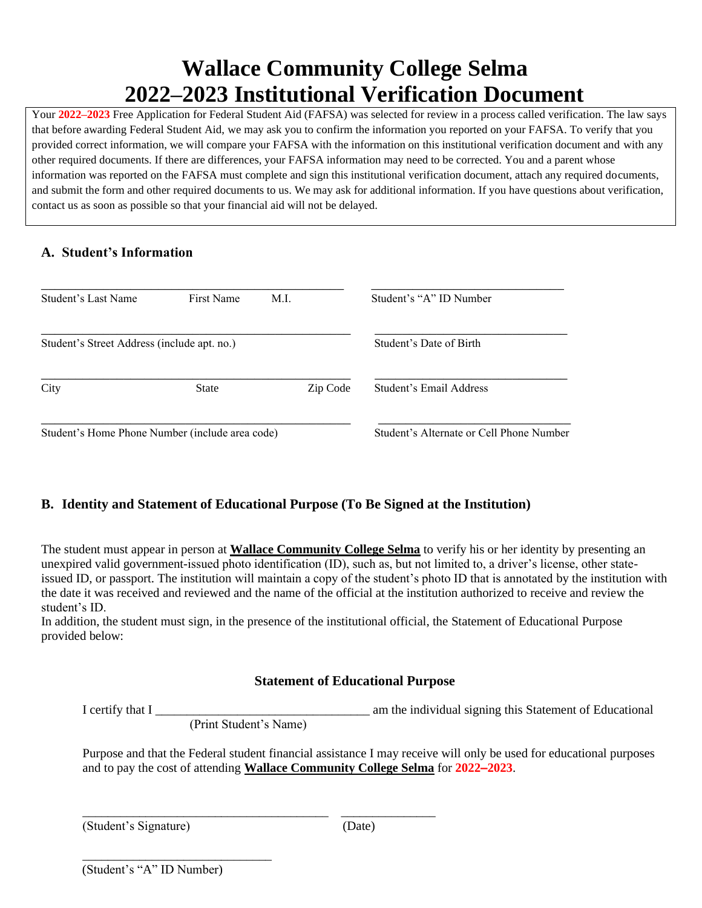# **Wallace Community College Selma 2022–2023 Institutional Verification Document**

Your **2022–2023** Free Application for Federal Student Aid (FAFSA) was selected for review in a process called verification. The law says that before awarding Federal Student Aid, we may ask you to confirm the information you reported on your FAFSA. To verify that you provided correct information, we will compare your FAFSA with the information on this institutional verification document and with any other required documents. If there are differences, your FAFSA information may need to be corrected. You and a parent whose information was reported on the FAFSA must complete and sign this institutional verification document, attach any required documents, and submit the form and other required documents to us. We may ask for additional information. If you have questions about verification, contact us as soon as possible so that your financial aid will not be delayed.

## **A. Student's Information**

| Student's Last Name                             | First Name   | M.I.                                     | Student's "A" ID Number |
|-------------------------------------------------|--------------|------------------------------------------|-------------------------|
| Student's Street Address (include apt. no.)     |              | Student's Date of Birth                  |                         |
| City                                            | <b>State</b> | Zip Code                                 | Student's Email Address |
| Student's Home Phone Number (include area code) |              | Student's Alternate or Cell Phone Number |                         |

# **B. Identity and Statement of Educational Purpose (To Be Signed at the Institution)**

The student must appear in person at **Wallace Community College Selma** to verify his or her identity by presenting an unexpired valid government-issued photo identification (ID), such as, but not limited to, a driver's license, other stateissued ID, or passport. The institution will maintain a copy of the student's photo ID that is annotated by the institution with the date it was received and reviewed and the name of the official at the institution authorized to receive and review the student's ID.

In addition, the student must sign, in the presence of the institutional official, the Statement of Educational Purpose provided below:

## **Statement of Educational Purpose**

I certify that I \_\_\_\_\_\_\_\_\_\_\_\_\_\_\_\_\_\_\_\_\_\_\_\_\_\_\_\_\_\_\_\_\_\_ am the individual signing this Statement of Educational

(Print Student's Name)

\_\_\_\_\_\_\_\_\_\_\_\_\_\_\_\_\_\_\_\_\_\_\_\_\_\_\_\_\_\_\_\_\_\_\_\_\_\_\_ \_\_\_\_\_\_\_\_\_\_\_\_\_\_\_

Purpose and that the Federal student financial assistance I may receive will only be used for educational purposes and to pay the cost of attending **Wallace Community College Selma** for **2022–2023**.

(Student's Signature) (Date)

\_\_\_\_\_\_\_\_\_\_\_\_\_\_\_\_\_\_\_\_\_\_\_\_\_\_\_\_\_\_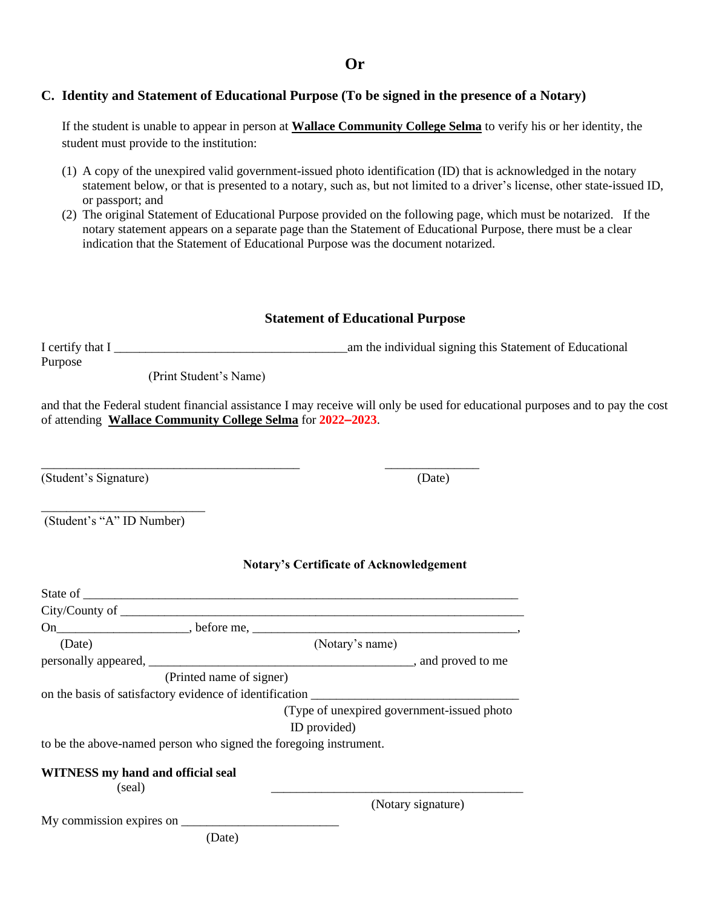**Or**

### **C. Identity and Statement of Educational Purpose (To be signed in the presence of a Notary)**

If the student is unable to appear in person at **Wallace Community College Selma** to verify his or her identity, the student must provide to the institution:

- (1) A copy of the unexpired valid government-issued photo identification (ID) that is acknowledged in the notary statement below, or that is presented to a notary, such as, but not limited to a driver's license, other state-issued ID, or passport; and
- (2) The original Statement of Educational Purpose provided on the following page, which must be notarized. If the notary statement appears on a separate page than the Statement of Educational Purpose, there must be a clear indication that the Statement of Educational Purpose was the document notarized.

#### **Statement of Educational Purpose**

I certify that I \_\_\_\_\_\_\_\_\_\_\_\_\_\_\_\_\_\_\_\_\_\_\_\_\_\_\_\_\_\_\_\_\_\_\_\_\_am the individual signing this Statement of Educational Purpose

(Print Student's Name)

\_\_\_\_\_\_\_\_\_\_\_\_\_\_\_\_\_\_\_\_\_\_\_\_\_\_\_\_\_\_\_\_\_\_\_\_\_\_\_\_\_ \_\_\_\_\_\_\_\_\_\_\_\_\_\_\_

and that the Federal student financial assistance I may receive will only be used for educational purposes and to pay the cost of attending **Wallace Community College Selma** for **2022–2023**.

(Student's Signature) (Date)

(Student's "A" ID Number)

\_\_\_\_\_\_\_\_\_\_\_\_\_\_\_\_\_\_\_\_\_\_\_\_\_\_

#### **Notary's Certificate of Acknowledgement**

| (Date)                                                                                          | (Notary's name)                             |                    |
|-------------------------------------------------------------------------------------------------|---------------------------------------------|--------------------|
|                                                                                                 |                                             |                    |
| (Printed name of signer)                                                                        |                                             |                    |
| on the basis of satisfactory evidence of identification                                         |                                             |                    |
|                                                                                                 | (Type of unexpired government-issued photo) |                    |
|                                                                                                 | ID provided)                                |                    |
| to be the above-named person who signed the foregoing instrument.                               |                                             |                    |
| WITNESS my hand and official seal<br>(seal)                                                     |                                             |                    |
|                                                                                                 |                                             | (Notary signature) |
| My commission expires on $\frac{1}{\sqrt{1-\frac{1}{2}}}\left\lfloor \frac{1}{2} \right\rfloor$ |                                             |                    |
| (Date)                                                                                          |                                             |                    |